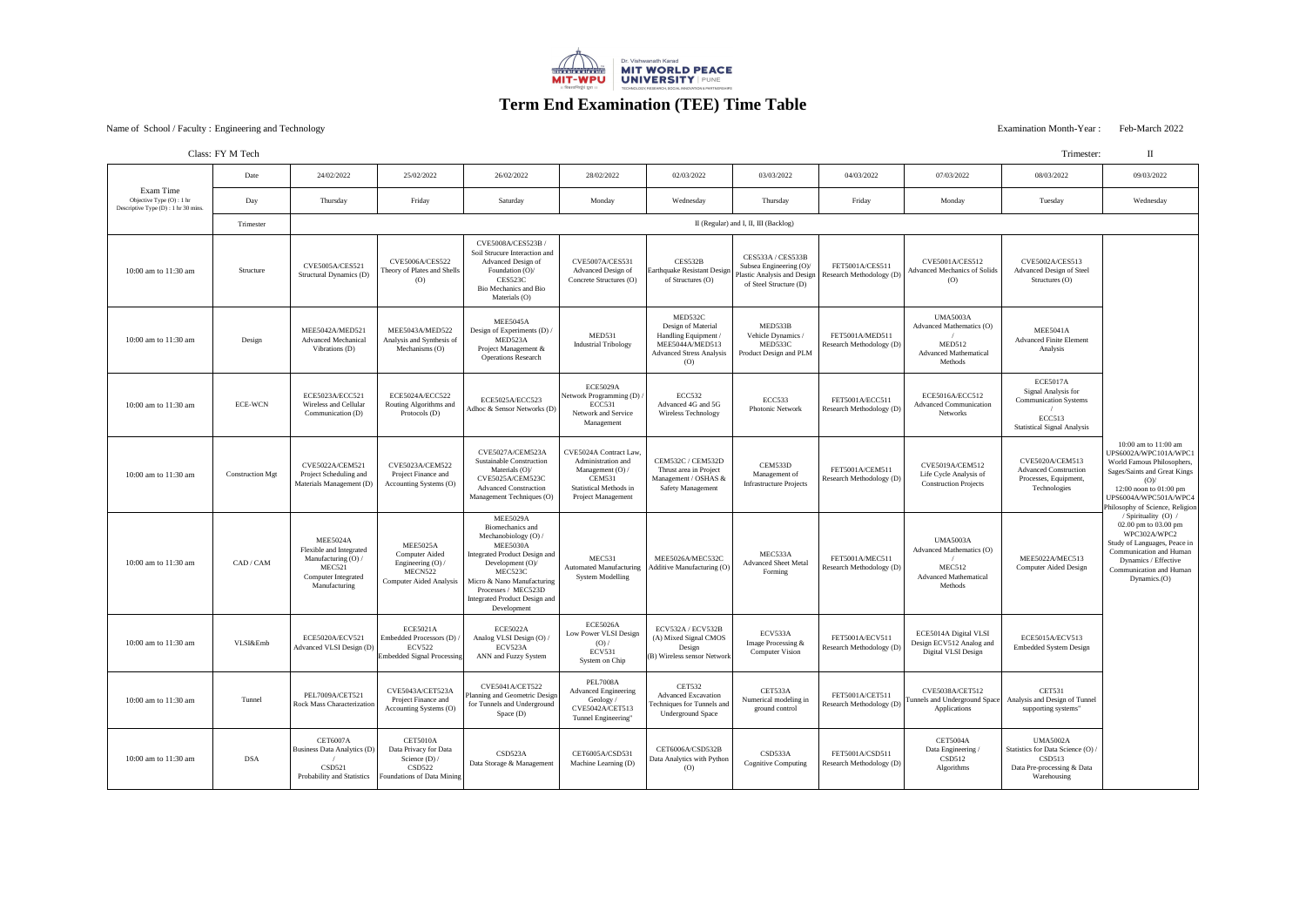### Examination Month-Year : Feb-March 2022<br>
Examination Month-Year : Feb-March 2022

| Class: FY M Tech | Trimester: |
|------------------|------------|
|------------------|------------|

| Exam Time<br>Objective Type $(O)$ : 1 hr<br>Descriptive Type $(D)$ : 1 hr 30 mins. | Date                    | 24/02/2022                                                                                                                          | 25/02/2022                                                                                                   | 26/02/2022                                                                                                                                                                                                                                                    | 28/02/2022                                                                                                                                        | 02/03/2022                                                                                                       | 03/03/2022                                                                                                          | 04/03/2022                                  | 07/03/2022                                                                                              | 08/03/2022                                                                                                                    | 09/03/2022                                                                                                                                                                                                       |
|------------------------------------------------------------------------------------|-------------------------|-------------------------------------------------------------------------------------------------------------------------------------|--------------------------------------------------------------------------------------------------------------|---------------------------------------------------------------------------------------------------------------------------------------------------------------------------------------------------------------------------------------------------------------|---------------------------------------------------------------------------------------------------------------------------------------------------|------------------------------------------------------------------------------------------------------------------|---------------------------------------------------------------------------------------------------------------------|---------------------------------------------|---------------------------------------------------------------------------------------------------------|-------------------------------------------------------------------------------------------------------------------------------|------------------------------------------------------------------------------------------------------------------------------------------------------------------------------------------------------------------|
|                                                                                    | Day                     | Thursday                                                                                                                            | Friday                                                                                                       | Saturday                                                                                                                                                                                                                                                      | Monday                                                                                                                                            | Wednesday                                                                                                        | Thursday                                                                                                            | Friday                                      | Monday                                                                                                  | Tuesday                                                                                                                       | Wednesday                                                                                                                                                                                                        |
|                                                                                    | Trimester               | II (Regular) and I, II, III (Backlog)                                                                                               |                                                                                                              |                                                                                                                                                                                                                                                               |                                                                                                                                                   |                                                                                                                  |                                                                                                                     |                                             |                                                                                                         |                                                                                                                               |                                                                                                                                                                                                                  |
| 10:00 am to 11:30 am                                                               | Structure               | <b>CVE5005A/CES521</b><br><b>Structural Dynamics (D)</b>                                                                            | <b>CVE5006A/CES522</b><br>Theory of Plates and Shells<br>(O)                                                 | CVE5008A/CES523B /<br>Soil Strucure Interaction and<br>Advanced Design of<br>Foundation (O)/<br>CES523C<br>Bio Mechanics and Bio<br>Materials (O)                                                                                                             | <b>CVE5007A/CES531</b><br><b>Advanced Design of</b><br>Concrete Structures (O)                                                                    | CES532B<br>Earthquake Resistant Design<br>of Structures (O)                                                      | <b>CES533A / CES533B</b><br>Subsea Engineering (O)/<br><b>Plastic Analysis and Design</b><br>of Steel Structure (D) | FET5001A/CES511<br>Research Methodology (D) | <b>CVE5001A/CES512</b><br><b>Advanced Mechanics of Solids</b><br>(0)                                    | <b>CVE5002A/CES513</b><br><b>Advanced Design of Steel</b><br>Structures (O)                                                   |                                                                                                                                                                                                                  |
| 10:00 am to 11:30 am                                                               | Design                  | MEE5042A/MED521<br><b>Advanced Mechanical</b><br>Vibrations (D)                                                                     | MEE5043A/MED522<br>Analysis and Synthesis of<br>Mechanisms $(O)$                                             | <b>MEE5045A</b><br>Design of Experiments (D)/<br>MED523A<br>Project Management &<br><b>Operations Research</b>                                                                                                                                                | MED531<br><b>Industrial Tribology</b>                                                                                                             | MED532C<br>Design of Material<br>Handling Equipment<br>MEE5044A/MED513<br><b>Advanced Stress Analysis</b><br>(O) | MED533B<br>Vehicle Dynamics /<br>MED533C<br>Product Design and PLM                                                  | FET5001A/MED511<br>Research Methodology (D) | <b>UMA5003A</b><br>Advanced Mathematics (O)<br>MED512<br><b>Advanced Mathematical</b><br>Methods        | <b>MEE5041A</b><br><b>Advanced Finite Element</b><br>Analysis                                                                 | 10:00 am to $11:00$ am<br>UPS6002A/WPC101A/WPC1<br>World Famous Philosophers,<br>Sages/Saints and Great Kings<br>$(O)$ /<br>12:00 noon to $01:00$ pm<br>UPS6004A/WPC501A/WPC4<br>Philosophy of Science, Religion |
| 10:00 am to 11:30 am                                                               | <b>ECE-WCN</b>          | ECE5023A/ECC521<br>Wireless and Cellular<br>Communication (D)                                                                       | ECE5024A/ECC522<br>Routing Algorithms and<br>Protocols (D)                                                   | ECE5025A/ECC523<br>Adhoc & Sensor Networks (D)                                                                                                                                                                                                                | <b>ECE5029A</b><br>Network Programming (D)<br><b>ECC531</b><br><b>Network and Service</b><br>Management                                           | <b>ECC532</b><br>Advanced 4G and 5G<br><b>Wireless Technology</b>                                                | <b>ECC533</b><br><b>Photonic Network</b>                                                                            | FET5001A/ECC511<br>Research Methodology (D) | ECE5016A/ECC512<br><b>Advanced Communication</b><br>Networks                                            | <b>ECE5017A</b><br>Signal Analysis for<br><b>Communication Systems</b><br><b>ECC513</b><br><b>Statistical Signal Analysis</b> |                                                                                                                                                                                                                  |
| 10:00 am to 11:30 am                                                               | <b>Construction Mgt</b> | <b>CVE5022A/CEM521</b><br>Project Scheduling and<br>Materials Management (D)                                                        | <b>CVE5023A/CEM522</b><br>Project Finance and<br>Accounting Systems (O)                                      | CVE5027A/CEM523A<br><b>Sustainable Construction</b><br>Materials $(O)$ /<br>CVE5025A/CEM523C<br><b>Advanced Construction</b><br>Management Techniques (O)                                                                                                     | CVE5024A Contract Law,<br>Administration and<br>Management $(O)$ /<br><b>CEM531</b><br><b>Statistical Methods in</b><br><b>Project Management</b> | <b>CEM532C / CEM532D</b><br>Thrust area in Project<br>Management / OSHAS &<br><b>Safety Management</b>           | CEM533D<br>Management of<br><b>Infrastructure Projects</b>                                                          | FET5001A/CEM511<br>Research Methodology (D) | <b>CVE5019A/CEM512</b><br>Life Cycle Analysis of<br><b>Construction Projects</b>                        | CVE5020A/CEM513<br><b>Advanced Construction</b><br>Processes, Equipment,<br>Technologies                                      |                                                                                                                                                                                                                  |
| 10:00 am to 11:30 am                                                               | CAD / CAM               | <b>MEE5024A</b><br>Flexible and Integrated<br>Manufacturing $(O)$ /<br><b>MEC521</b><br><b>Computer Integrated</b><br>Manufacturing | <b>MEE5025A</b><br><b>Computer Aided</b><br>Engineering $(O)$ /<br>MECN522<br><b>Computer Aided Analysis</b> | <b>MEE5029A</b><br>Biomechanics and<br>Mechanobiology (O) /<br><b>MEE5030A</b><br>Integrated Product Design and<br>Development $(O)$ /<br>MEC523C<br>Micro & Nano Manufacturing<br>Processes / MEC523D<br><b>Integrated Product Design and</b><br>Development | <b>MEC531</b><br><b>Automated Manufacturing</b><br><b>System Modelling</b>                                                                        | MEE5026A/MEC532C<br><b>Additive Manufacturing (O)</b>                                                            | MEC533A<br><b>Advanced Sheet Metal</b><br>Forming                                                                   | FET5001A/MEC511<br>Research Methodology (D) | <b>UMA5003A</b><br>Advanced Mathematics (O)<br><b>MEC512</b><br><b>Advanced Mathematical</b><br>Methods | MEE5022A/MEC513<br><b>Computer Aided Design</b>                                                                               | / Spirituality (O) /<br>02.00 pm to 03.00 pm<br>WPC302A/WPC2<br>Study of Languages, Peace in  <br>Communication and Human<br>Dynamics / Effective<br>Communication and Human<br>Dynamics. $(O)$                  |
| 10:00 am to 11:30 am                                                               | <b>VLSI&amp;Emb</b>     | ECE5020A/ECV521<br>Advanced VLSI Design (D)                                                                                         | <b>ECE5021A</b><br>Embedded Processors (D)<br><b>ECV522</b><br><b>Embedded Signal Processing</b>             | <b>ECE5022A</b><br>Analog VLSI Design (O) /<br>ECV523A<br>ANN and Fuzzy System                                                                                                                                                                                | <b>ECE5026A</b><br>Low Power VLSI Design<br>(O)<br><b>ECV531</b><br>System on Chip                                                                | <b>ECV532A/ECV532B</b><br>(A) Mixed Signal CMOS<br>Design<br>(B) Wireless sensor Network                         | ECV533A<br>Image Processing $\&$<br><b>Computer Vision</b>                                                          | FET5001A/ECV511<br>Research Methodology (D) | ECE5014A Digital VLSI<br>Design ECV512 Analog and<br>Digital VLSI Design                                | ECE5015A/ECV513<br><b>Embedded System Design</b>                                                                              |                                                                                                                                                                                                                  |
| 10:00 am to 11:30 am                                                               | Tunnel                  | PEL7009A/CET521<br><b>Rock Mass Characterization</b>                                                                                | CVE5043A/CET523A<br>Project Finance and<br>Accounting Systems (O)                                            | <b>CVE5041A/CET522</b><br>Planning and Geometric Design<br>for Tunnels and Underground<br>Space(D)                                                                                                                                                            | <b>PEL7008A</b><br><b>Advanced Engineering</b><br>Geology /<br>CVE5042A/CET513<br>Tunnel Engineering"                                             | <b>CET532</b><br><b>Advanced Excavation</b><br>Techniques for Tunnels and<br><b>Underground Space</b>            | CET533A<br>Numerical modeling in<br>ground control                                                                  | FET5001A/CET511<br>Research Methodology (D) | <b>CVE5038A/CET512</b><br>Tunnels and Underground Space Analysis and Design of Tunnel<br>Applications   | <b>CET531</b><br>supporting systems"                                                                                          |                                                                                                                                                                                                                  |
| 10:00 am to $11:30$ am                                                             | <b>DSA</b>              | <b>CET6007A</b><br><b>Business Data Analytics (D</b><br><b>CSD521</b><br>Probability and Statistics                                 | CET5010A<br>Data Privacy for Data<br>Science $(D)$ /<br><b>CSD522</b><br><b>Foundations of Data Mining</b>   | CSD523A<br>Data Storage & Management                                                                                                                                                                                                                          | CET6005A/CSD531<br>Machine Learning (D)                                                                                                           | CET6006A/CSD532B<br>Data Analytics with Python<br>(O)                                                            | CSD533A<br><b>Cognitive Computing</b>                                                                               | FET5001A/CSD511<br>Research Methodology (D) | <b>CET5004A</b><br>Data Engineering<br>CSD512<br>Algorithms                                             | <b>UMA5002A</b><br>Statistics for Data Science (O).<br>CSD513<br>Data Pre-processing & Data<br>Warehousing                    |                                                                                                                                                                                                                  |



# **Term End Examination (TEE) Time Table**

| ım<br>11 |
|----------|
|          |